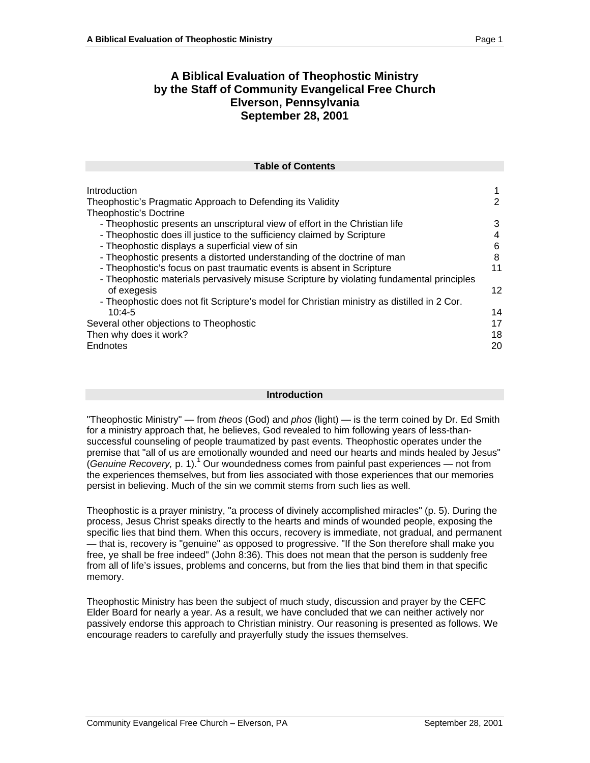# **A Biblical Evaluation of Theophostic Ministry by the Staff of Community Evangelical Free Church Elverson, Pennsylvania September 28, 2001**

| <b>Table of Contents</b>                                                                   |  |
|--------------------------------------------------------------------------------------------|--|
|                                                                                            |  |
| Introduction                                                                               |  |
| Theophostic's Pragmatic Approach to Defending its Validity                                 |  |
| Theophostic's Doctrine                                                                     |  |
| - Theophostic presents an unscriptural view of effort in the Christian life                |  |
| - Theophostic does ill justice to the sufficiency claimed by Scripture                     |  |
| - Theophostic displays a superficial view of sin                                           |  |
| - Theophostic presents a distorted understanding of the doctrine of man                    |  |
| - Theophostic's focus on past traumatic events is absent in Scripture                      |  |
| - Theophostic materials pervasively misuse Scripture by violating fundamental principles   |  |
| of exegesis                                                                                |  |
| - Theophostic does not fit Scripture's model for Christian ministry as distilled in 2 Cor. |  |
| $10:4-5$                                                                                   |  |
| Several other objections to Theophostic                                                    |  |
| Then why does it work?                                                                     |  |
| Endnotes                                                                                   |  |
|                                                                                            |  |

#### **Introduction**

"Theophostic Ministry" — from theos (God) and  $phos$  (light) — is the term coined by Dr. Ed Smith for a ministry approach that, he believes, God revealed to him following years of less-than successful counseling of people traumatized by past events. Theophostic operates under the premise that "all of us are emotionally wounded and need our hearts and minds healed by Jesus"  $($ Genuine Recovery, p. 1).<sup>1</sup> Our woundedness comes from painful past experiences — not from the experiences themselves, but from lies associated with those experiences that our memories persist in believing. Much of the sin we commit stems from such lies as well.

Theophostic is a prayer ministry, "a process of divinely accomplished miracles" (p. 5). During the process, Jesus Christ speaks directly to the hearts and minds of wounded people, exposing the specific lies that bind them. When this occurs, recovery is immediate, not gradual, and permanent —<br>— that is, recovery is "genuine" as opposed to progressive. "If the Son therefore shall make you free, ye shall be free indeed" (John 8:36). This does not mean that the person is suddenly free from all of life's issues, problems and concerns, but from the lies that bind them in that specific memory. The contract of the contract of the contract of the contract of the contract of the contract of the contract of the contract of the contract of the contract of the contract of the contract of the contract of the co

Theophostic Ministry has been the subject of much study, discussion and prayer by the CEFC Elder Board for nearly a year. As a result, we have concluded that we can neither actively nor passively endorse this approach to Christian ministry. Our reasoning is presented as follows. We encourage readers to carefully and prayerfully study the issues themselves.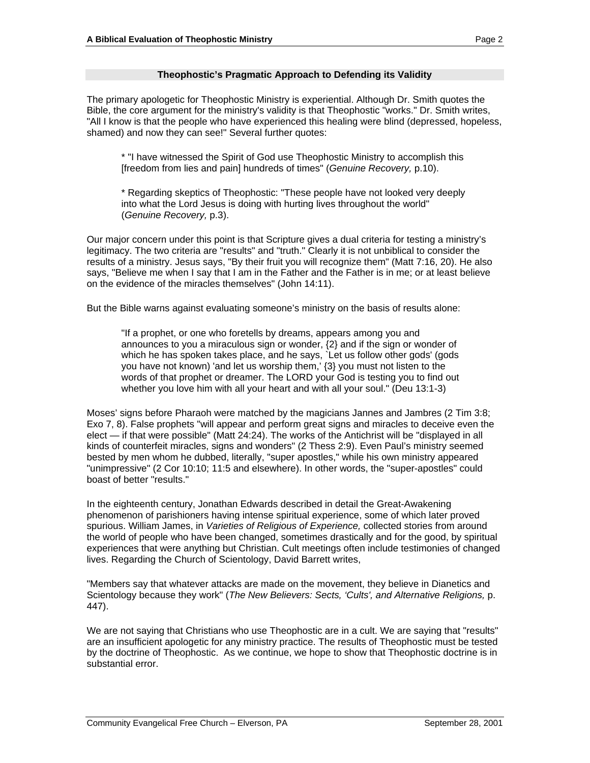## **Theophostic's Pragmatic Approach to Defending its Validity**

The primary apologetic for Theophostic Ministry is experiential. Although Dr. Smith quotes the Bible, the core argument for the ministry's validity is that Theophostic "works." Dr. Smith writes, "All I know is that the people who have experienced this healing were blind (depressed, hopeless, shamed) and now they can see!" Several further quotes:

\* "I have witnessed the Spirit of God use Theophostic Ministry to accomplish this [freedom from lies and pain] hundreds of times" (Genuine Recovery, p.10).

\* Regarding skeptics of Theophostic: "These people have not looked very deeply into what the Lord Jesus is doing with hurting lives throughout the world" (Genuine Recovery, p.3).

Our major concern under this point is that Scripture gives a dual criteria for testing a ministry's legitimacy. The two criteria are "results" and "truth." Clearly it is not unbiblical to consider the results of a ministry. Jesus says, "By their fruit you will recognize them" (Matt 7:16, 20). He also says, "Believe me when I say that I am in the Father and the Father is in me; or at least believe on the evidence of the miracles themselves" (John 14:11).

But the Bible warns against evaluating someone's ministry on the basis of results alone:

"If a prophet, or one who foretells by dreams, appears among you and announces to you a miraculous sign or wonder, {2} and if the sign or wonder of which he has spoken takes place, and he says, `Let us follow other gods' (gods you have not known) 'and let us worship them,' {3} you must not listen to the words of that prophet or dreamer. The LORD your God is testing you to find out whether you love him with all your heart and with all your soul." (Deu 13:1-3)

Moses' signs before Pharaoh were matched by the magicians Jannes and Jambres (2 Tim 3:8; Exo 7, 8). False prophets "will appear and perform great signs and miracles to deceive even the elect — if that were possible" (Matt 24:24). The works of the Antichrist will be "displayed in all kinds of counterfeit miracles, signs and wonders" (2 Thess 2:9). Even Paul's ministry seemed bested by men whom he dubbed, literally, "super apostles," while his own ministry appeared "unimpressive" (2 Cor 10:10; 11:5 and elsewhere). In other words, the "super-apostles" could boast of better "results."

In the eighteenth century, Jonathan Edwards described in detail the Great-Awakening phenomenon of parishioners having intense spiritual experience, some of which later proved spurious. William James, in *Varieties of Religious of Experience*, collected stories from around the world of people who have been changed, sometimes drastically and for the good, by spiritual experiences that were anything but Christian. Cult meetings often include testimonies of changed lives. Regarding the Church of Scientology, David Barrett writes,

"Members say that whatever attacks are made on the movement, they believe in Dianetics and Scientology because they work" (The New Believers: Sects, 'Cults', and Alternative Religions, p. 447).

We are not saying that Christians who use Theophostic are in a cult. We are saying that "results" are an insufficient apologetic for any ministry practice. The results of Theophostic must be tested by the doctrine of Theophostic. As we continue, we hope to show that Theophostic doctrine is in substantial error.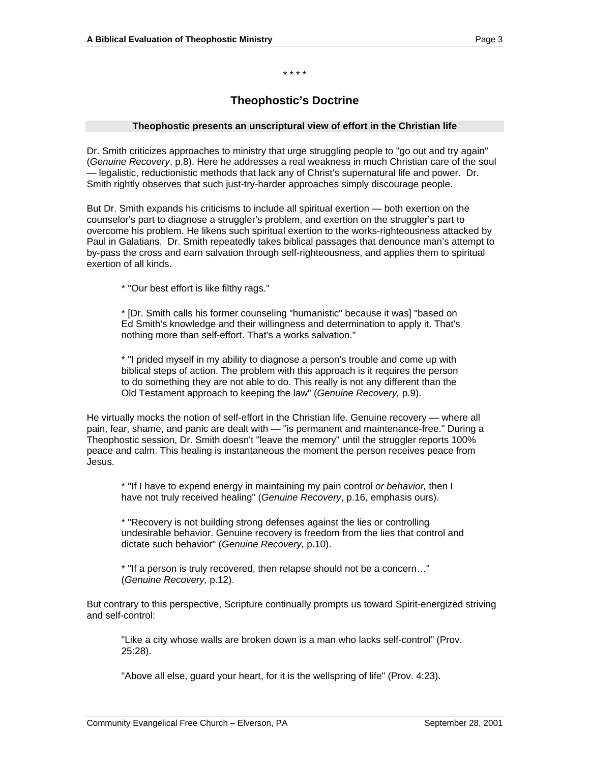\* \* \* \*

# **Theophostic's Doctrine**

#### **Theophostic presents an unscriptural view of effort in the Christian life**

Dr. Smith criticizes approaches to ministry that urge struggling people to "go out and try again" (Genuine Recovery, p.8). Here he addresses a real weakness in much Christian care of the soul —<br>— legalistic, reductionistic methods that lack any of Christ's supernatural life and power. Dr. Smith rightly observes that such just-try-harder approaches simply discourage people.

But Dr. Smith expands his criticisms to include all spiritual exertion — both exertion on the counselor's part to diagnose a struggler's problem, and exertion on the struggler's part to overcome his problem. He likens such spiritual exertion to the works-righteousness attacked by Paul in Galatians. Dr. Smith repeatedly takes biblical passages that denounce man's attempt to by-pass the cross and earn salvation through self-righteousness, and applies them to spiritual exertion of all kinds.

\* "Our best effort is like filthy rags."

\* [Dr. Smith calls his former counseling "humanistic" because it was] "based on Ed Smith's knowledge and their willingness and determination to apply it. That's nothing more than self-effort. That's a works salvation."

\* "I prided myself in my ability to diagnose a person's trouble and come up with biblical steps of action. The problem with this approach is it requires the person to do something they are not able to do. This really is not any different than the Old Testament approach to keeping the law" (Genuine Recovery, p.9).

He virtually mocks the notion of self-effort in the Christian life. Genuine recovery — where all pain, fear, shame, and panic are dealt with — "is permanent and maintenance-free." During a Theophostic session, Dr. Smith doesn't "leave the memory" until the struggler reports 100% peace and calm. This healing is instantaneous the moment the person receives peace from Jesus.

\* "If I have to expend energy in maintaining my pain control or behavior, then I have not truly received healing" (Genuine Recovery, p.16, emphasis ours).

\* "Recovery is not building strong defenses against the lies or controlling undesirable behavior. Genuine recovery is freedom from the lies that control and dictate such behavior" (Genuine Recovery, p.10).

\* "If a person is truly recovered, then relapse should not be a concern…" (Genuine Recovery, p.12).

But contrary to this perspective, Scripture continually prompts us toward Spirit-energized striving<br>and self-control: and self-control:

"Like a city whose walls are broken down is a man who lacks self-control" (Prov. 25:28).

"Above all else, guard your heart, for it is the wellspring of life" (Prov. 4:23).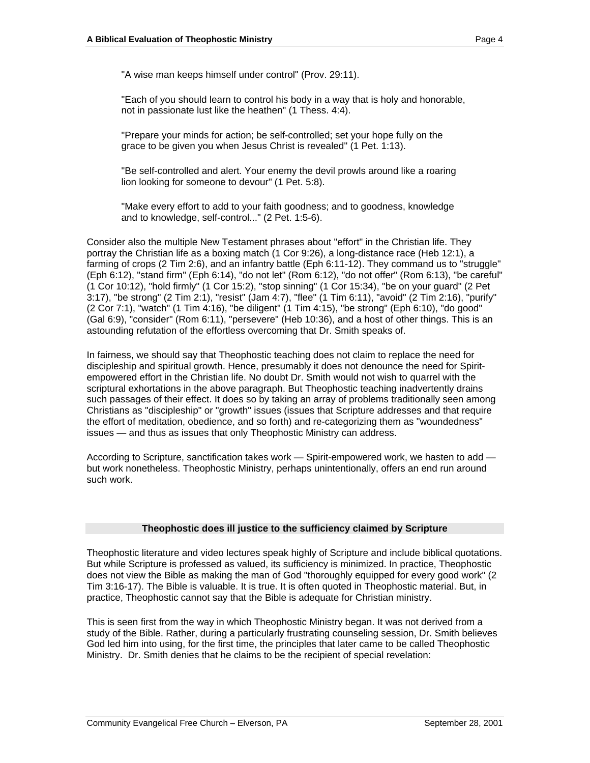"A wise man keeps himself under control" (Prov. 29:11).

"Each of you should learn to control his body in a way that is holy and honorable, not in passionate lust like the heathen" (1 Thess. 4:4).

"Prepare your minds for action; be self-controlled; set your hope fully on the grace to be given you when Jesus Christ is revealed" (1 Pet. 1:13).

"Be self-controlled and alert. Your enemy the devil prowls around like a roaring lion looking for someone to devour" (1 Pet. 5:8).

"Make every effort to add to your faith goodness; and to goodness, knowledge and to knowledge, self-control..." (2 Pet. 1:5-6).

Consider also the multiple New Testament phrases about "effort" in the Christian life. They portray the Christian life as a boxing match (1 Cor 9:26), a long-distance race (Heb 12:1), a farming of crops (2 Tim 2:6), and an infantry battle (Eph 6:11-12). They command us to "struggle" (Eph 6:12), "stand firm" (Eph 6:14), "do not let" (Rom 6:12), "do not offer" (Rom 6:13), "be careful" (1 Cor 10:12), "hold firmly" (1 Cor 15:2), "stop sinning" (1 Cor 15:34), "be on your guard" (2 Pet 3:17), "be strong" (2 Tim 2:1), "resist" (Jam 4:7), "flee" (1 Tim 6:11), "avoid" (2 Tim 2:16), "purify" (2 Cor 7:1), "watch" (1 Tim 4:16), "be diligent" (1 Tim 4:15), "be strong" (Eph 6:10), "do good" (Gal 6:9), "consider" (Rom 6:11), "persevere" (Heb 10:36), and a host of other things. This is an astounding refutation of the effortless overcoming that Dr. Smith speaks of.

In fairness, we should say that Theophostic teaching does not claim to replace the need for discipleship and spiritual growth. Hence, presumably it does not denounce the need for Spirit empowered effort in the Christian life. No doubt Dr. Smith would not wish to quarrel with the scriptural exhortations in the above paragraph. But Theophostic teaching inadvertently drains such passages of their effect. It does so by taking an array of problems traditionally seen among Christians as "discipleship" or "growth" issues (issues that Scripture addresses and that require the effort of meditation, obedience, and so forth) and re-categorizing them as "woundedness" issues — and thus as issues that only Theophostic Ministry can address.

According to Scripture, sanctification takes work — Spirit-empowered work, we hasten to add but work nonetheless. Theophostic Ministry, perhaps unintentionally, offers an end run around such work. The contract of the contract of the contract of the contract of the contract of the contract of the contract of the contract of the contract of the contract of the contract of the contract of the contract of the

#### **Theophostic does ill justice to the sufficiency claimed by Scripture**

Theophostic literature and video lectures speak highly of Scripture and include biblical quotations. But while Scripture is professed as valued, its sufficiency is minimized. In practice, Theophostic does not view the Bible as making the man of God "thoroughly equipped for every good work" (2 Tim 3:16-17). The Bible is valuable. It is true. It is often quoted in Theophostic material. But, in practice, Theophostic cannot say that the Bible is adequate for Christian ministry.

This is seen first from the way in which Theophostic Ministry began. It was not derived from a study of the Bible. Rather, during a particularly frustrating counseling session, Dr. Smith believes God led him into using, for the first time, the principles that later came to be called Theophostic Ministry. Dr. Smith denies that he claims to be the recipient of special revelation: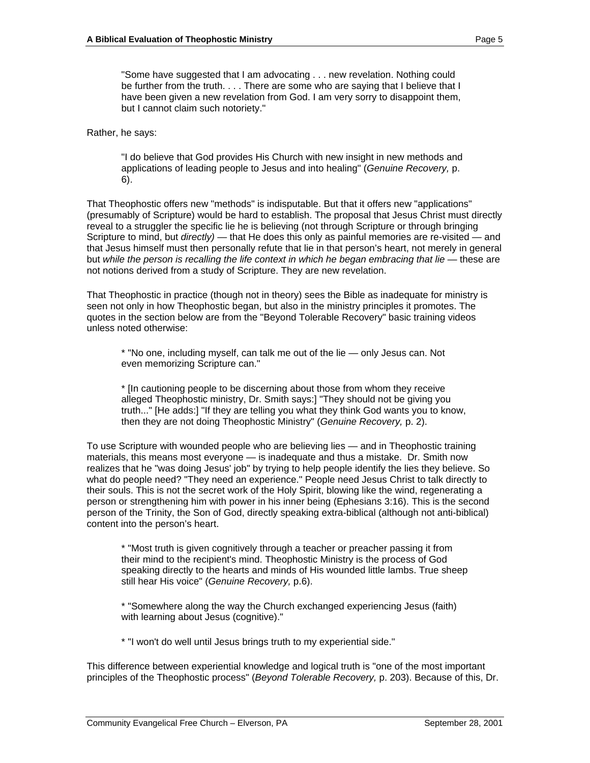"Some have suggested that I am advocating . . . new revelation. Nothing could be further from the truth. . . . There are some who are saying that I believe that I have been given a new revelation from God. I am very sorry to disappoint them, but I cannot claim such notoriety."

Rather, he says:

"I do believe that God provides His Church with new insight in new methods and applications of leading people to Jesus and into healing" (Genuine Recovery, p. 6).

That Theophostic offers new "methods" is indisputable. But that it offers new "applications" (presumably of Scripture) would be hard to establish. The proposal that Jesus Christ must directly reveal to a struggler the specific lie he is believing (not through Scripture or through bringing Scripture to mind, but directly) — that He does this only as painful memories are re-visited — and that Jesus himself must then personally refute that lie in that person's heart, not merely in general but while the person is recalling the life context in which he began embracing that lie — these are not notions derived from a study of Scripture. They are new revelation.

That Theophostic in practice (though not in theory) sees the Bible as inadequate for ministry is seen not only in how Theophostic began, but also in the ministry principles it promotes. The quotes in the section below are from the "Beyond Tolerable Recovery" basic training videos unless noted otherwise:

\* "No one, including myself, can talk me out of the lie — only Jesus can. Not even memorizing Scripture can."

\* [In cautioning people to be discerning about those from whom they receive alleged Theophostic ministry, Dr. Smith says:] "They should not be giving you truth..." [He adds:] "If they are telling you what they think God wants you to know, then they are not doing Theophostic Ministry" (Genuine Recovery, p. 2).

To use Scripture with wounded people who are believing lies — and in Theophostic training materials, this means most everyone — is inadequate and thus a mistake. Dr. Smith now realizes that he "was doing Jesus' job" by trying to help people identify the lies they believe. So what do people need? "They need an experience." People need Jesus Christ to talk directly to their souls. This is not the secret work of the Holy Spirit, blowing like the wind, regenerating a person or strengthening him with power in his inner being (Ephesians 3:16). This is the second person of the Trinity, the Son of God, directly speaking extra-biblical (although not anti-biblical) content into the person's heart.

\* "Most truth is given cognitively through a teacher or preacher passing it from their mind to the recipient's mind. Theophostic Ministry is the process of God speaking directly to the hearts and minds of His wounded little lambs. True sheep still hear His voice" (Genuine Recovery, p.6).

\* "Somewhere along the way the Church exchanged experiencing Jesus (faith) with learning about Jesus (cognitive)."

\* "I won't do well until Jesus brings truth to my experiential side."

This difference between experiential knowledge and logical truth is "one of the most important principles of the Theophostic process" (Beyond Tolerable Recovery, p. 203). Because of this, Dr.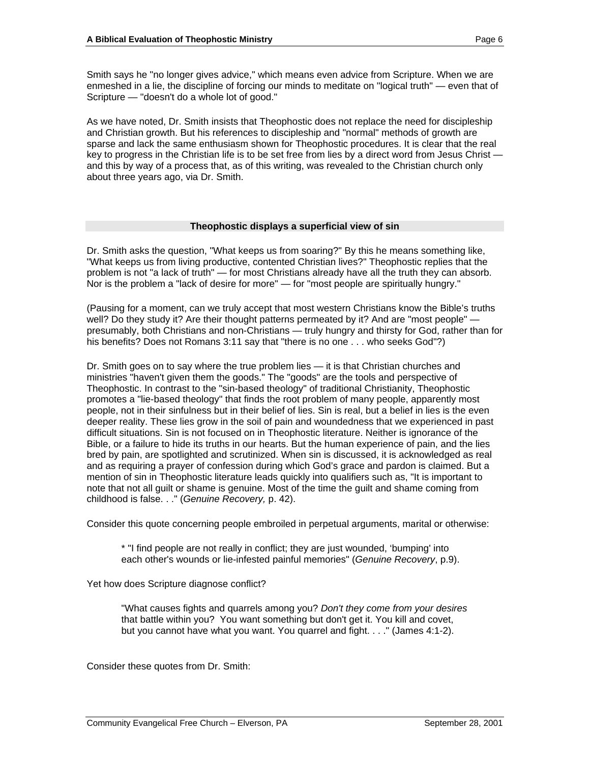Smith says he "no longer gives advice," which means even advice from Scripture. When we are enmeshed in a lie, the discipline of forcing our minds to meditate on "logical truth" — even that of Scripture — "doesn't do a whole lot of good."

As we have noted, Dr. Smith insists that Theophostic does not replace the need for discipleship and Christian growth. But his references to discipleship and "normal" methods of growth are sparse and lack the same enthusiasm shown for Theophostic procedures. It is clear that the real key to progress in the Christian life is to be set free from lies by a direct word from Jesus Christ and this by way of a process that, as of this writing, was revealed to the Christian church only about three years ago, via Dr. Smith.

## **Theophostic displays a superficial view of sin**

Dr. Smith asks the question, "What keeps us from soaring?" By this he means something like, "What keeps us from living productive, contented Christian lives?" Theophostic replies that the problem is not "a lack of truth" — for most Christians already have all the truth they can absorb. Nor is the problem a "lack of desire for more" — for "most people are spiritually hungry."

(Pausing for a moment, can we truly accept that most western Christians know the Bible's truths well? Do they study it? Are their thought patterns permeated by it? And are "most people" presumably, both Christians and non-Christians — truly hungry and thirsty for God, rather than for his benefits? Does not Romans 3:11 say that "there is no one . . . who seeks God"?)

Dr. Smith goes on to say where the true problem lies — it is that Christian churches and ministries "haven't given them the goods." The "goods" are the tools and perspective of Theophostic. In contrast to the "sin-based theology" of traditional Christianity, Theophostic promotes a "lie-based theology" that finds the root problem of many people, apparently most people, not in their sinfulness but in their belief of lies. Sin is real, but a belief in lies is the even deeper reality. These lies grow in the soil of pain and woundedness that we experienced in past difficult situations. Sin is not focused on in Theophostic literature. Neither is ignorance of the Bible, or a failure to hide its truths in our hearts. But the human experience of pain, and the lies bred by pain, are spotlighted and scrutinized. When sin is discussed, it is acknowledged as real and as requiring a prayer of confession during which God's grace and pardon is claimed. But a mention of sin in Theophostic literature leads quickly into qualifiers such as, "It is important to note that not all guilt or shame is genuine. Most of the time the guilt and shame coming from childhood is false. . ." (Genuine Recovery, p. 42).

Consider this quote concerning people embroiled in perpetual arguments, marital or otherwise:

\* "I find people are not really in conflict; they are just wounded, 'bumping' into each other's wounds or lie-infested painful memories" (Genuine Recovery, p.9).

Yet how does Scripture diagnose conflict?

"What causes fights and quarrels among you? Don't they come from your desires that battle within you? You want something but don't get it. You kill and covet, but you cannot have what you want. You quarrel and fight. . . ." (James 4:1-2).

Consider these quotes from Dr. Smith: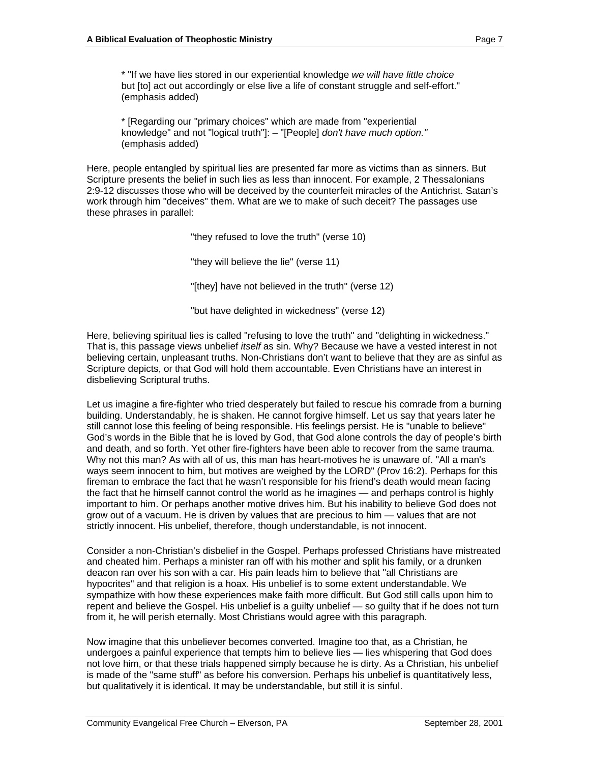\* "If we have lies stored in our experiential knowledge we will have little choice but [to] act out accordingly or else live a life of constant struggle and self-effort." (emphasis added)

\* [Regarding our "primary choices" which are made from "experiential knowledge" and not "logical truth"]: - "[People] don't have much option." (emphasis added)

Here, people entangled by spiritual lies are presented far more as victims than as sinners. But Scripture presents the belief in such lies as less than innocent. For example, 2 Thessalonians 2:9-12 discusses those who will be deceived by the counterfeit miracles of the Antichrist. Satan's work through him "deceives" them. What are we to make of such deceit? The passages use these phrases in parallel:

"they refused to love the truth" (verse 10)

"they will believe the lie" (verse 11)

"[they] have not believed in the truth" (verse 12)

"but have delighted in wickedness" (verse 12)

Here, believing spiritual lies is called "refusing to love the truth" and "delighting in wickedness." That is, this passage views unbelief *itself* as sin. Why? Because we have a vested interest in not believing certain, unpleasant truths. Non-Christians don't want to believe that they are as sinful as Scripture depicts, or that God will hold them accountable. Even Christians have an interest in disbelieving Scriptural truths.

Let us imagine a fire-fighter who tried desperately but failed to rescue his comrade from a burning building. Understandably, he is shaken. He cannot forgive himself. Let us say that years later he still cannot lose this feeling of being responsible. His feelings persist. He is "unable to believe" God's words in the Bible that he is loved by God, that God alone controls the day of people's birth and death, and so forth. Yet other fire-fighters have been able to recover from the same trauma. Why not this man? As with all of us, this man has heart-motives he is unaware of. "All a man's ways seem innocent to him, but motives are weighed by the LORD" (Prov 16:2). Perhaps for this fireman to embrace the fact that he wasn't responsible for his friend's death would mean facing the fact that he himself cannot control the world as he imagines — and perhaps control is highly important to him. Or perhaps another motive drives him. But his inability to believe God does not grow out of a vacuum. He is driven by values that are precious to him — values that are not strictly innocent. His unbelief, therefore, though understandable, is not innocent.

Consider a non-Christian's disbelief in the Gospel. Perhaps professed Christians have mistreated and cheated him. Perhaps a minister ran off with his mother and split his family, or a drunken deacon ran over his son with a car. His pain leads him to believe that "all Christians are hypocrites" and that religion is a hoax. His unbelief is to some extent understandable. We sympathize with how these experiences make faith more difficult. But God still calls upon him to repent and believe the Gospel. His unbelief is a guilty unbelief — so guilty that if he does not turn from it, he will perish eternally. Most Christians would agree with this paragraph.

Now imagine that this unbeliever becomes converted. Imagine too that, as a Christian, he undergoes a painful experience that tempts him to believe lies — lies whispering that God does not love him, or that these trials happened simply because he is dirty. As a Christian, his unbelief is made of the "same stuff" as before his conversion. Perhaps his unbelief is quantitatively less, but qualitatively it is identical. It may be understandable, but still it is sinful.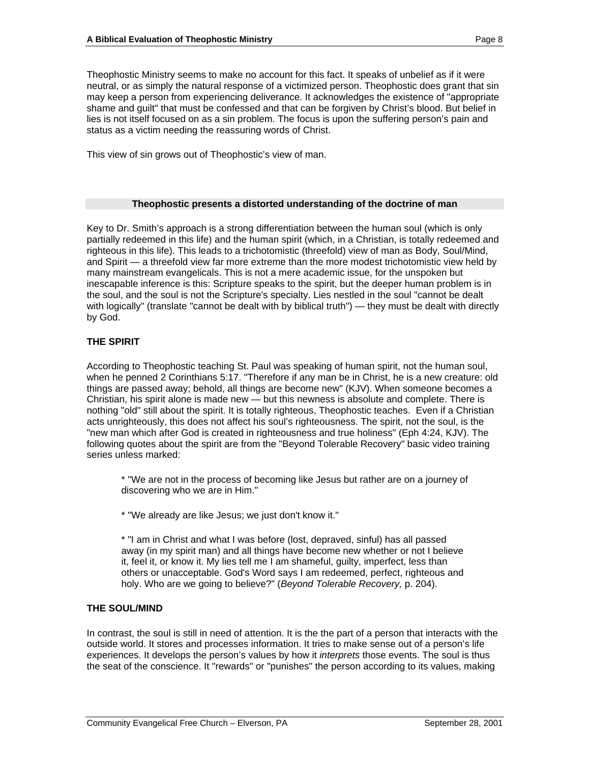Theophostic Ministry seems to make no account for this fact. It speaks of unbelief as if it were neutral, or as simply the natural response of a victimized person. Theophostic does grant that sin may keep a person from experiencing deliverance. It acknowledges the existence of "appropriate shame and guilt" that must be confessed and that can be forgiven by Christ's blood. But belief in lies is not itself focused on as a sin problem. The focus is upon the suffering person's pain and status as a victim needing the reassuring words of Christ.

This view of sin grows out of Theophostic's view of man.

## **Theophostic presents a distorted understanding of the doctrine of man**

Key to Dr. Smith's approach is a strong differentiation between the human soul (which is only partially redeemed in this life) and the human spirit (which, in a Christian, is totally redeemed and righteous in this life). This leads to a trichotomistic (threefold) view of man as Body, Soul/Mind, and Spirit — a threefold view far more extreme than the more modest trichotomistic view held by many mainstream evangelicals. This is not a mere academic issue, for the unspoken but inescapable inference is this: Scripture speaks to the spirit, but the deeper human problem is in the soul, and the soul is not the Scripture's specialty. Lies nestled in the soul "cannot be dealt with logically" (translate "cannot be dealt with by biblical truth") — they must be dealt with directly by God. And the contract of the contract of the contract of the contract of the contract of the contract of the contract of the contract of the contract of the contract of the contract of the contract of the contract of th

## **THE SPIRIT**

According to Theophostic teaching St. Paul was speaking of human spirit, not the human soul, when he penned 2 Corinthians 5:17. "Therefore if any man be in Christ, he is a new creature: old things are passed away; behold, all things are become new" (KJV). When someone becomes a Christian, his spirit alone is made new — but this newness is absolute and complete. There is nothing "old" still about the spirit. It is totally righteous, Theophostic teaches. Even if a Christian acts unrighteously, this does not affect his soul's righteousness. The spirit, not the soul, is the "new man which after God is created in righteousness and true holiness" (Eph 4:24, KJV). The following quotes about the spirit are from the "Beyond Tolerable Recovery" basic video training series unless marked:

\* "We are not in the process of becoming like Jesus but rather are on a journey of discovering who we are in Him."

\* "We already are like Jesus; we just don't know it."

\* "I am in Christ and what I was before (lost, depraved, sinful) has all passed away (in my spirit man) and all things have become new whether or not I believe it, feel it, or know it. My lies tell me I am shameful, guilty, imperfect, less than others or unacceptable. God's Word says I am redeemed, perfect, righteous and holy. Who are we going to believe?" (Beyond Tolerable Recovery, p. 204).

## **THE SOUL/MIND**

In contrast, the soul is still in need of attention. It is the the part of a person that interacts with the outside world. It stores and processes information. It tries to make sense out of a person's life experiences. It develops the person's values by how it *interprets* those events. The soul is thus the seat of the conscience. It "rewards" or "punishes" the person according to its values, making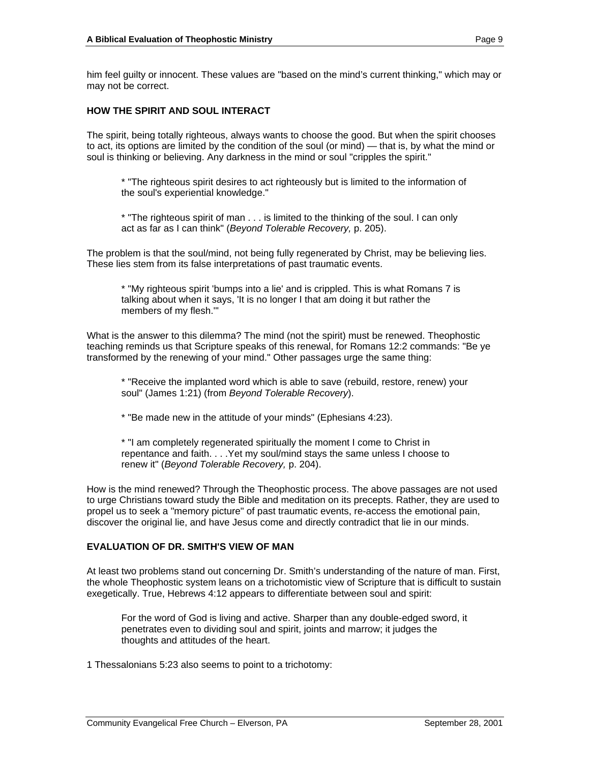him feel guilty or innocent. These values are "based on the mind's current thinking," which may or may not be correct.

## **HOW THE SPIRIT AND SOUL INTERACT**

The spirit, being totally righteous, always wants to choose the good. But when the spirit chooses to act, its options are limited by the condition of the soul (or mind) — that is, by what the mind or soul is thinking or believing. Any darkness in the mind or soul "cripples the spirit."

\* "The righteous spirit desires to act righteously but is limited to the information of the soul's experiential knowledge."

\* "The righteous spirit of man . . . is limited to the thinking of the soul. I can only act as far as I can think" (Beyond Tolerable Recovery, p. 205).

The problem is that the soul/mind, not being fully regenerated by Christ, may be believing lies. These lies stem from its false interpretations of past traumatic events.

\* "My righteous spirit 'bumps into a lie' and is crippled. This is what Romans 7 is talking about when it says, 'It is no longer I that am doing it but rather the members of my flesh.'"

What is the answer to this dilemma? The mind (not the spirit) must be renewed. Theophostic teaching reminds us that Scripture speaks of this renewal, for Romans 12:2 commands: "Be ye transformed by the renewing of your mind." Other passages urge the same thing:

\* "Receive the implanted word which is able to save (rebuild, restore, renew) your soul" (James 1:21) (from Beyond Tolerable Recovery).

\* "Be made new in the attitude of your minds" (Ephesians 4:23).

\* "I am completely regenerated spiritually the moment I come to Christ in repentance and faith. . . .Yet my soul/mind stays the same unless I choose to renew it" (Beyond Tolerable Recovery, p. 204).

How is the mind renewed? Through the Theophostic process. The above passages are not used to urge Christians toward study the Bible and meditation on its precepts. Rather, they are used to propel us to seek a "memory picture" of past traumatic events, re-access the emotional pain, discover the original lie, and have Jesus come and directly contradict that lie in our minds.

## **EVALUATION OF DR. SMITH'S VIEW OF MAN**

At least two problems stand out concerning Dr. Smith's understanding of the nature of man. First, the whole Theophostic system leans on a trichotomistic view of Scripture that is difficult to sustain exegetically. True, Hebrews 4:12 appears to differentiate between soul and spirit:

For the word of God is living and active. Sharper than any double-edged sword, it penetrates even to dividing soul and spirit, joints and marrow; it judges the thoughts and attitudes of the heart.

1 Thessalonians 5:23 also seems to point to a trichotomy: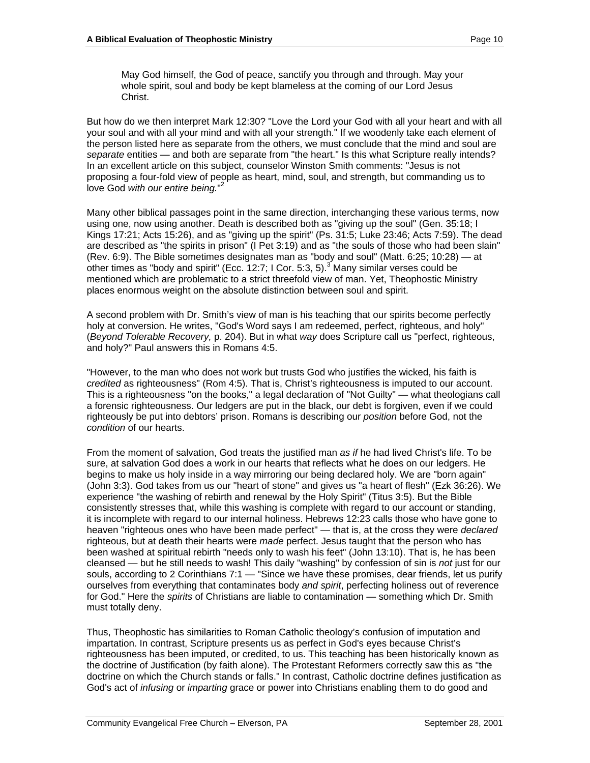May God himself, the God of peace, sanctify you through and through. May your whole spirit, soul and body be kept blameless at the coming of our Lord Jesus Christ. **Christ** Christian Christian Christian Christian Christian Christian Christian Christian Christian Christian Christian Christian Christian Christian Christian Christian Christian Christian Christian Christian Chris

But how do we then interpret Mark 12:30? "Love the Lord your God with all your heart and with all your soul and with all your mind and with all your strength." If we woodenly take each element of the person listed here as separate from the others, we must conclude that the mind and soul are separate entities — and both are separate from "the heart." Is this what Scripture really intends? In an excellent article on this subject, counselor Winston Smith comments: "Jesus is not proposing a four-fold view of people as heart, mind, soul, and strength, but commanding us to love God with our entire being."<sup>2</sup>

Many other biblical passages point in the same direction, interchanging these various terms, now using one, now using another. Death is described both as "giving up the soul" (Gen. 35:18; I Kings 17:21; Acts 15:26), and as "giving up the spirit" (Ps. 31:5; Luke 23:46; Acts 7:59). The dead are described as "the spirits in prison" (I Pet 3:19) and as "the souls of those who had been slain" (Rev. 6:9). The Bible sometimes designates man as "body and soul" (Matt. 6:25; 10:28) — at other times as "body and spirit" (Ecc. 12:7; I Cor. 5:3, 5). $^3$ Many similar verses could be mentioned which are problematic to a strict threefold view of man. Yet, Theophostic Ministry places enormous weight on the absolute distinction between soul and spirit.

A second problem with Dr. Smith's view of man is his teaching that our spirits become perfectly holy at conversion. He writes, "God's Word says I am redeemed, perfect, righteous, and holy" (Beyond Tolerable Recovery, p. 204). But in what way does Scripture call us "perfect, righteous, and holy?" Paul answers this in Romans 4:5.

"However, to the man who does not work but trusts God who justifies the wicked, his faith is credited as righteousness" (Rom 4:5). That is, Christ's righteousness is imputed to our account. This is a righteousness "on the books," a legal declaration of "Not Guilty" — what theologians call a forensic righteousness. Our ledgers are put in the black, our debt is forgiven, even if we could righteously be put into debtors' prison. Romans is describing our position before God, not the condition of our hearts.

From the moment of salvation. God treats the justified man as if he had lived Christ's life. To be sure, at salvation God does a work in our hearts that reflects what he does on our ledgers. He begins to make us holy inside in a way mirroring our being declared holy. We are "born again" (John 3:3). God takes from us our "heart of stone" and gives us "a heart of flesh" (Ezk 36:26). We experience "the washing of rebirth and renewal by the Holy Spirit" (Titus 3:5). But the Bible consistently stresses that, while this washing is complete with regard to our account or standing, it is incomplete with regard to our internal holiness. Hebrews 12:23 calls those who have gone to heaven "righteous ones who have been made perfect" — that is, at the cross they were declared righteous, but at death their hearts were made perfect. Jesus taught that the person who has been washed at spiritual rebirth "needs only to wash his feet" (John 13:10). That is, he has been cleansed — but he still needs to wash! This daily "washing" by confession of sin is not just for our souls, according to 2 Corinthians 7:1 — "Since we have these promises, dear friends, let us purify ourselves from everything that contaminates body and spirit, perfecting holiness out of reverence for God." Here the *spirits* of Christians are liable to contamination — something which Dr. Smith must totally deny.

Thus, Theophostic has similarities to Roman Catholic theology's confusion of imputation and impartation. In contrast, Scripture presents us as perfect in God's eyes because Christ's righteousness has been imputed, or credited, to us. This teaching has been historically known as the doctrine of Justification (by faith alone). The Protestant Reformers correctly saw this as "the doctrine on which the Church stands or falls." In contrast, Catholic doctrine defines justification as God's act of *infusing* or *imparting* grace or power into Christians enabling them to do good and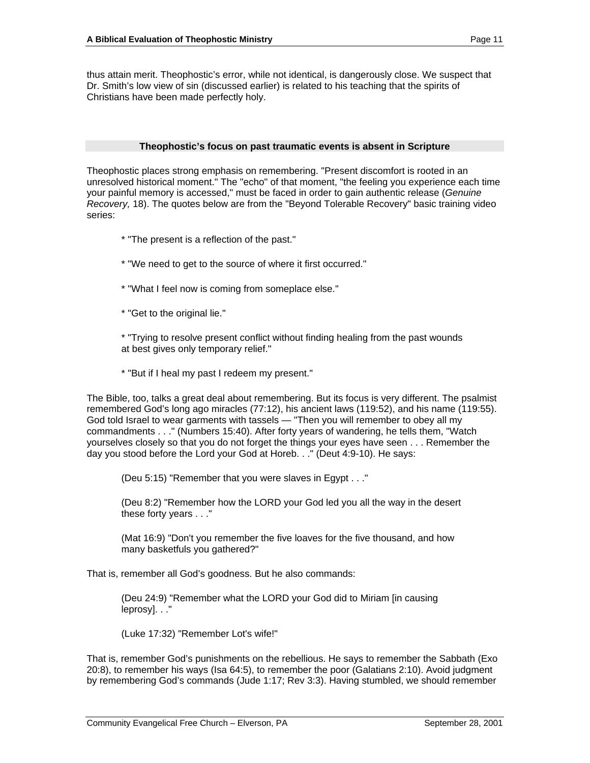thus attain merit. Theophostic's error, while not identical, is dangerously close. We suspect that Dr. Smith's low view of sin (discussed earlier) is related to his teaching that the spirits of Christians have been made perfectly holy.

#### **Theophostic's focus on past traumatic events is absent in Scripture**

Theophostic places strong emphasis on remembering. "Present discomfort is rooted in an unresolved historical moment." The "echo" of that moment, "the feeling you experience each time your painful memory is accessed," must be faced in order to gain authentic release (Genuine Recovery, 18). The quotes below are from the "Beyond Tolerable Recovery" basic training video series:

- \* "The present is a reflection of the past."
- \* "We need to get to the source of where it first occurred."
- \* "What I feel now is coming from someplace else."
- \* "Get to the original lie."

\* "Trying to resolve present conflict without finding healing from the past wounds at best gives only temporary relief."

\* "But if I heal my past I redeem my present."

The Bible, too, talks a great deal about remembering. But its focus is very different. The psalmist remembered God's long ago miracles (77:12), his ancient laws (119:52), and his name (119:55). God told Israel to wear garments with tassels — "Then you will remember to obey all my commandments . . ." (Numbers 15:40). After forty years of wandering, he tells them, "Watch yourselves closely so that you do not forget the things your eyes have seen . . . Remember the day you stood before the Lord your God at Horeb. . ." (Deut 4:9-10). He says:

(Deu 5:15) "Remember that you were slaves in Egypt . . ."

(Deu 8:2) "Remember how the LORD your God led you all the way in the desert these forty years . . ."

(Mat 16:9) "Don't you remember the five loaves for the five thousand, and how many basketfuls you gathered?"

That is, remember all God's goodness. But he also commands:

(Deu 24:9) "Remember what the LORD your God did to Miriam [in causing leprosy]. . ."

(Luke 17:32) "Remember Lot's wife!"

That is, remember God's punishments on the rebellious. He says to remember the Sabbath (Exo 20:8), to remember his ways (Isa 64:5), to remember the poor (Galatians 2:10). Avoid judgment by remembering God's commands (Jude 1:17; Rev 3:3). Having stumbled, we should remember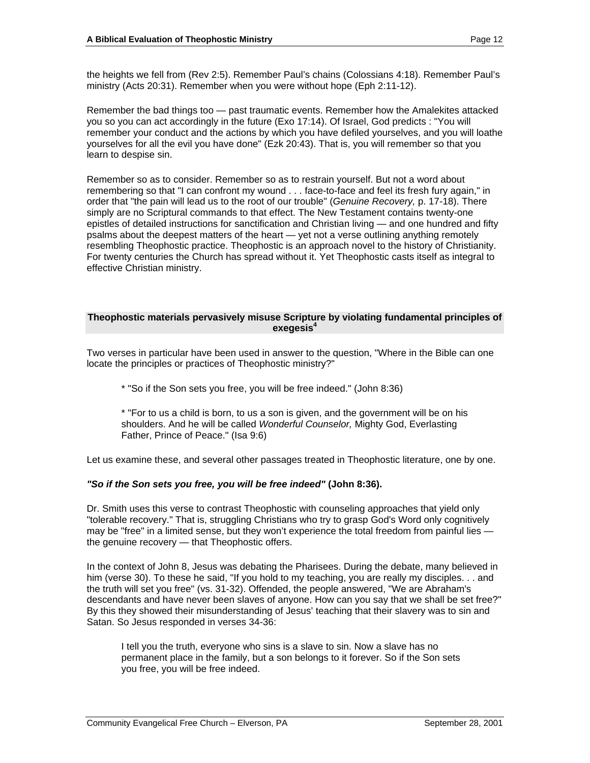the heights we fell from (Rev 2:5). Remember Paul's chains (Colossians 4:18). Remember Paul's ministry (Acts 20:31). Remember when you were without hope (Eph 2:11-12).

Remember the bad things too — past traumatic events. Remember how the Amalekites attacked you so you can act accordingly in the future (Exo 17:14). Of Israel, God predicts : "You will remember your conduct and the actions by which you have defiled yourselves, and you will loathe yourselves for all the evil you have done" (Ezk 20:43). That is, you will remember so that you learn to despise sin.

Remember so as to consider. Remember so as to restrain yourself. But not a word about remembering so that "I can confront my wound . . . face-to-face and feel its fresh fury again," in order that "the pain will lead us to the root of our trouble" (Genuine Recovery, p. 17-18). There simply are no Scriptural commands to that effect. The New Testament contains twenty-one epistles of detailed instructions for sanctification and Christian living — and one hundred and fifty psalms about the deepest matters of the heart — yet not a verse outlining anything remotely resembling Theophostic practice. Theophostic is an approach novel to the history of Christianity. For twenty centuries the Church has spread without it. Yet Theophostic casts itself as integral to effective Christian ministry.

#### **Theophostic materials pervasively misuse Scripture by violating fundamental principles of exegesis<sup>4</sup>**

Two verses in particular have been used in answer to the question, "Where in the Bible can one locate the principles or practices of Theophostic ministry?"

\* "So if the Son sets you free, you will be free indeed." (John 8:36)

\* "For to us a child is born, to us a son is given, and the government will be on his shoulders. And he will be called Wonderful Counselor, Mighty God, Everlasting Father, Prince of Peace." (Isa 9:6)

Let us examine these, and several other passages treated in Theophostic literature, one by one.

## **"So if the Son sets you free, you will be free indeed" (John 8:36).**

Dr. Smith uses this verse to contrast Theophostic with counseling approaches that yield only "tolerable recovery." That is, struggling Christians who try to grasp God's Word only cognitively may be "free" in a limited sense, but they won't experience the total freedom from painful lies the genuine recovery — that Theophostic offers.

In the context of John 8, Jesus was debating the Pharisees. During the debate, many believed in him (verse 30). To these he said, "If you hold to my teaching, you are really my disciples. . . and the truth will set you free" (vs. 31-32). Offended, the people answered, "We are Abraham's descendants and have never been slaves of anyone. How can you say that we shall be set free?" By this they showed their misunderstanding of Jesus' teaching that their slavery was to sin and Satan. So Jesus responded in verses 34-36:

I tell you the truth, everyone who sins is a slave to sin. Now a slave has no permanent place in the family, but a son belongs to it forever. So if the Son sets you free, you will be free indeed.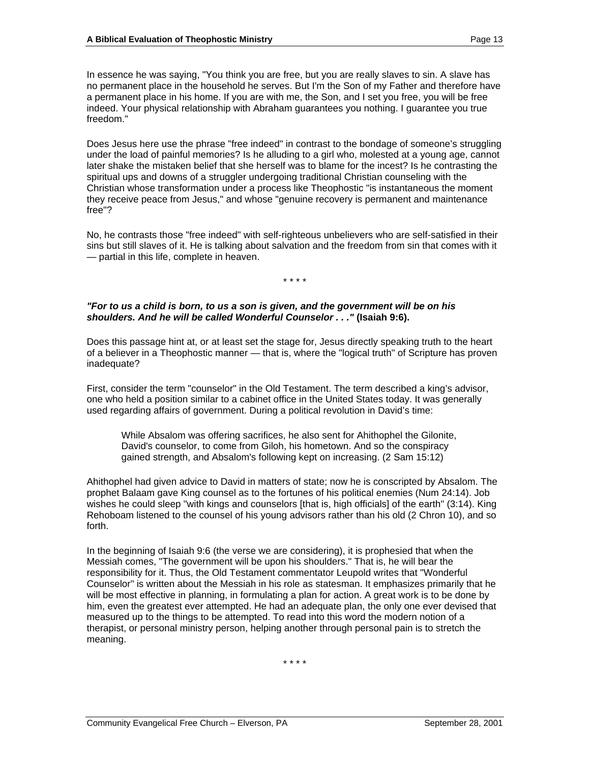In essence he was saying, "You think you are free, but you are really slaves to sin. A slave has no permanent place in the household he serves. But I'm the Son of my Father and therefore have a permanent place in his home. If you are with me, the Son, and I set you free, you will be free indeed. Your physical relationship with Abraham guarantees you nothing. I guarantee you true freedom."

Does Jesus here use the phrase "free indeed" in contrast to the bondage of someone's struggling under the load of painful memories? Is he alluding to a girl who, molested at a young age, cannot later shake the mistaken belief that she herself was to blame for the incest? Is he contrasting the spiritual ups and downs of a struggler undergoing traditional Christian counseling with the Christian whose transformation under a process like Theophostic "is instantaneous the moment they receive peace from Jesus," and whose "genuine recovery is permanent and maintenance free"?

No, he contrasts those "free indeed" with self-righteous unbelievers who are self-satisfied in their sins but still slaves of it. He is talking about salvation and the freedom from sin that comes with it — partial in this life, complete in heaven.

\* \* \* \*

## **"For to us a child is born, to us a son is given, and the government will be on his shoulders. And he will be called Wonderful Counselor . . ." (Isaiah 9:6).**

Does this passage hint at, or at least set the stage for, Jesus directly speaking truth to the heart of a believer in a Theophostic manner — that is, where the "logical truth" of Scripture has proven inadequate?

First, consider the term "counselor" in the Old Testament. The term described a king's advisor, one who held a position similar to a cabinet office in the United States today. It was generally used regarding affairs of government. During a political revolution in David's time:

While Absalom was offering sacrifices, he also sent for Ahithophel the Gilonite, David's counselor, to come from Giloh, his hometown. And so the conspiracy gained strength, and Absalom's following kept on increasing. (2 Sam 15:12)

Ahithophel had given advice to David in matters of state; now he is conscripted by Absalom. The prophet Balaam gave King counsel as to the fortunes of his political enemies (Num 24:14). Job wishes he could sleep "with kings and counselors [that is, high officials] of the earth" (3:14). King Rehoboam listened to the counsel of his young advisors rather than his old (2 Chron 10), and so forth.

In the beginning of Isaiah 9:6 (the verse we are considering), it is prophesied that when the Messiah comes, "The government will be upon his shoulders." That is, he will bear the responsibility for it. Thus, the Old Testament commentator Leupold writes that "Wonderful Counselor" is written about the Messiah in his role as statesman. It emphasizes primarily that he will be most effective in planning, in formulating a plan for action. A great work is to be done by him, even the greatest ever attempted. He had an adequate plan, the only one ever devised that measured up to the things to be attempted. To read into this word the modern notion of a therapist, or personal ministry person, helping another through personal pain is to stretch the meaning.

\* \* \* \*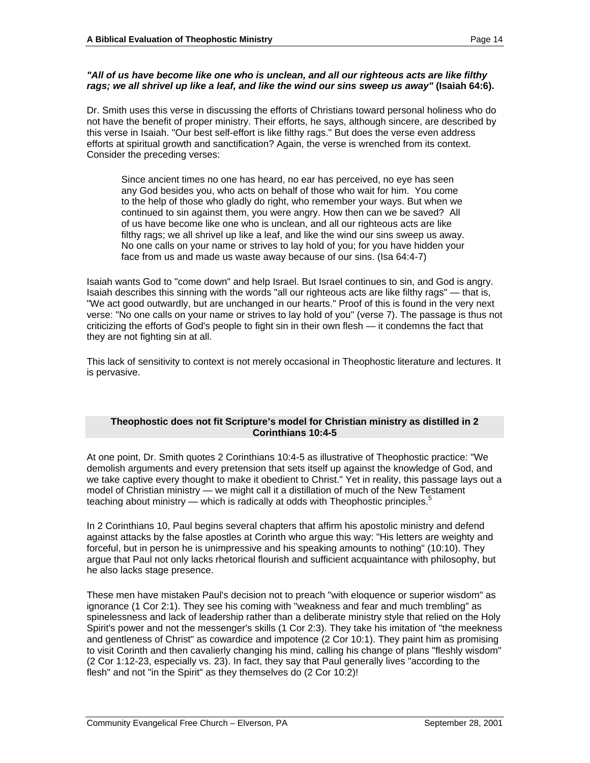## **"All of us have become like one who is unclean, and all our righteous acts are like filthy rags; we all shrivel up like a leaf, and like the wind our sins sweep us away" (Isaiah 64:6).**

Dr. Smith uses this verse in discussing the efforts of Christians toward personal holiness who do not have the benefit of proper ministry. Their efforts, he says, although sincere, are described by this verse in Isaiah. "Our best self-effort is like filthy rags." But does the verse even address efforts at spiritual growth and sanctification? Again, the verse is wrenched from its context. Consider the preceding verses:

Since ancient times no one has heard, no ear has perceived, no eye has seen any God besides you, who acts on behalf of those who wait for him. You come to the help of those who gladly do right, who remember your ways. But when we continued to sin against them, you were angry. How then can we be saved? All of us have become like one who is unclean, and all our righteous acts are like filthy rags; we all shrivel up like a leaf, and like the wind our sins sweep us away. No one calls on your name or strives to lay hold of you; for you have hidden your face from us and made us waste away because of our sins. (Isa 64:4-7)

Isaiah wants God to "come down" and help Israel. But Israel continues to sin, and God is angry. Isaiah describes this sinning with the words "all our righteous acts are like filthy rags" — that is, "We act good outwardly, but are unchanged in our hearts." Proof of this is found in the very next verse: "No one calls on your name or strives to lay hold of you" (verse 7). The passage is thus not criticizing the efforts of God's people to fight sin in their own flesh — it condemns the fact that they are not fighting sin at all.

This lack of sensitivity to context is not merely occasional in Theophostic literature and lectures. It is pervasive.

## **Theophostic does not fit Scripture's model for Christian ministry as distilled in 2 Corinthians 10:4-5**

At one point, Dr. Smith quotes 2 Corinthians 10:4-5 as illustrative of Theophostic practice: "We demolish arguments and every pretension that sets itself up against the knowledge of God, and we take captive every thought to make it obedient to Christ." Yet in reality, this passage lays out a model of Christian ministry — we might call it a distillation of much of the New Testament teaching about ministry — which is radically at odds with Theophostic principles. $5$ 

In 2 Corinthians 10, Paul begins several chapters that affirm his apostolic ministry and defend against attacks by the false apostles at Corinth who argue this way: "His letters are weighty and forceful, but in person he is unimpressive and his speaking amounts to nothing" (10:10). They argue that Paul not only lacks rhetorical flourish and sufficient acquaintance with philosophy, but he also lacks stage presence.

These men have mistaken Paul's decision not to preach "with eloquence or superior wisdom" as ignorance (1 Cor 2:1). They see his coming with "weakness and fear and much trembling" as spinelessness and lack of leadership rather than a deliberate ministry style that relied on the Holy Spirit's power and not the messenger's skills (1 Cor 2:3). They take his imitation of "the meekness and gentleness of Christ" as cowardice and impotence (2 Cor 10:1). They paint him as promising to visit Corinth and then cavalierly changing his mind, calling his change of plans "fleshly wisdom" (2 Cor 1:12-23, especially vs. 23). In fact, they say that Paul generally lives "according to the flesh" and not "in the Spirit" as they themselves do (2 Cor 10:2)!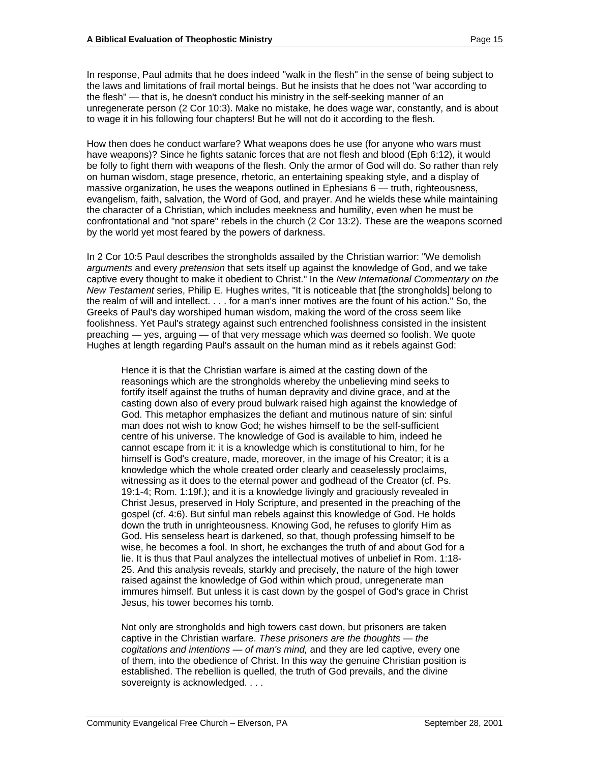In response, Paul admits that he does indeed "walk in the flesh" in the sense of being subject to the laws and limitations of frail mortal beings. But he insists that he does not "war according to the flesh" — that is, he doesn't conduct his ministry in the self-seeking manner of an unregenerate person (2 Cor 10:3). Make no mistake, he does wage war, constantly, and is about to wage it in his following four chapters! But he will not do it according to the flesh.

How then does he conduct warfare? What weapons does he use (for anyone who wars must have weapons)? Since he fights satanic forces that are not flesh and blood (Eph 6:12), it would be folly to fight them with weapons of the flesh. Only the armor of God will do. So rather than rely on human wisdom, stage presence, rhetoric, an entertaining speaking style, and a display of massive organization, he uses the weapons outlined in Ephesians 6 — truth, righteousness, evangelism, faith, salvation, the Word of God, and prayer. And he wields these while maintaining the character of a Christian, which includes meekness and humility, even when he must be confrontational and "not spare" rebels in the church (2 Cor 13:2). These are the weapons scorned by the world yet most feared by the powers of darkness.

In 2 Cor 10:5 Paul describes the strongholds assailed by the Christian warrior: "We demolish arguments and every pretension that sets itself up against the knowledge of God, and we take captive every thought to make it obedient to Christ." In the New International Commentary on the New Testament series, Philip E. Hughes writes, "It is noticeable that [the strongholds] belong to the realm of will and intellect. . . . for a man's inner motives are the fount of his action." So, the Greeks of Paul's day worshiped human wisdom, making the word of the cross seem like foolishness. Yet Paul's strategy against such entrenched foolishness consisted in the insistent preaching — yes, arguing — of that very message which was deemed so foolish. We quote Hughes at length regarding Paul's assault on the human mind as it rebels against God:

Hence it is that the Christian warfare is aimed at the casting down of the reasonings which are the strongholds whereby the unbelieving mind seeks to fortify itself against the truths of human depravity and divine grace, and at the casting down also of every proud bulwark raised high against the knowledge of God. This metaphor emphasizes the defiant and mutinous nature of sin: sinful man does not wish to know God; he wishes himself to be the self-sufficient centre of his universe. The knowledge of God is available to him, indeed he cannot escape from it: it is a knowledge which is constitutional to him, for he himself is God's creature, made, moreover, in the image of his Creator; it is a knowledge which the whole created order clearly and ceaselessly proclaims, witnessing as it does to the eternal power and godhead of the Creator (cf. Ps. 19:1-4; Rom. 1:19f.); and it is a knowledge livingly and graciously revealed in Christ Jesus, preserved in Holy Scripture, and presented in the preaching of the gospel (cf. 4:6). But sinful man rebels against this knowledge of God. He holds down the truth in unrighteousness. Knowing God, he refuses to glorify Him as God. His senseless heart is darkened, so that, though professing himself to be wise, he becomes a fool. In short, he exchanges the truth of and about God for a lie. It is thus that Paul analyzes the intellectual motives of unbelief in Rom. 1:18- 25. And this analysis reveals, starkly and precisely, the nature of the high tower raised against the knowledge of God within which proud, unregenerate man immures himself. But unless it is cast down by the gospel of God's grace in Christ Jesus, his tower becomes his tomb.

Not only are strongholds and high towers cast down, but prisoners are taken captive in the Christian warfare. These prisoners are the thoughts — the cogitations and intentions — of man's mind, and they are led captive, every one of them, into the obedience of Christ. In this way the genuine Christian position is established. The rebellion is quelled, the truth of God prevails, and the divine sovereignty is acknowledged. . . .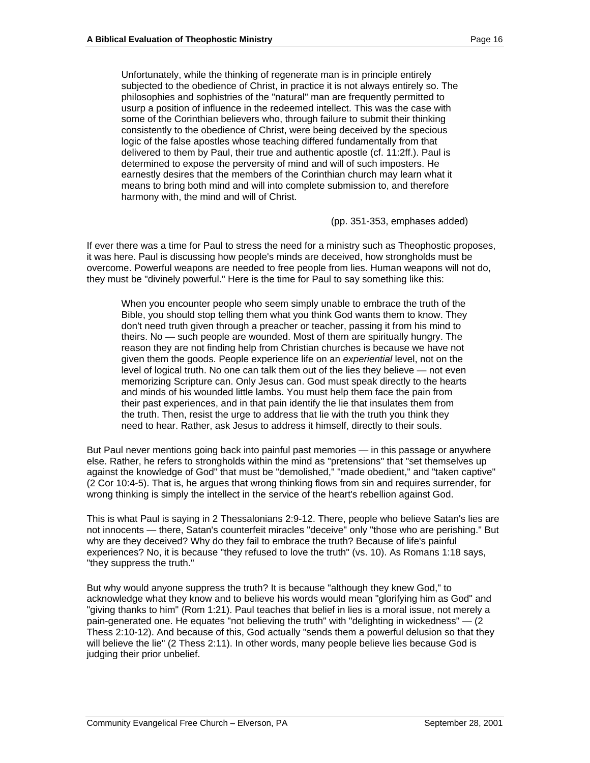Unfortunately, while the thinking of regenerate man is in principle entirely subjected to the obedience of Christ, in practice it is not always entirely so. The philosophies and sophistries of the "natural" man are frequently permitted to usurp a position of influence in the redeemed intellect. This was the case with some of the Corinthian believers who, through failure to submit their thinking consistently to the obedience of Christ, were being deceived by the specious logic of the false apostles whose teaching differed fundamentally from that delivered to them by Paul, their true and authentic apostle (cf. 11:2ff.). Paul is determined to expose the perversity of mind and will of such imposters. He earnestly desires that the members of the Corinthian church may learn what it means to bring both mind and will into complete submission to, and therefore harmony with, the mind and will of Christ.

(pp. 351-353, emphases added)

If ever there was a time for Paul to stress the need for a ministry such as Theophostic proposes, it was here. Paul is discussing how people's minds are deceived, how strongholds must be overcome. Powerful weapons are needed to free people from lies. Human weapons will not do, they must be "divinely powerful." Here is the time for Paul to say something like this:

When you encounter people who seem simply unable to embrace the truth of the Bible, you should stop telling them what you think God wants them to know. They don't need truth given through a preacher or teacher, passing it from his mind to theirs. No — such people are wounded. Most of them are spiritually hungry. The reason they are not finding help from Christian churches is because we have not given them the goods. People experience life on an experiential level, not on the level of logical truth. No one can talk them out of the lies they believe — not even memorizing Scripture can. Only Jesus can. God must speak directly to the hearts and minds of his wounded little lambs. You must help them face the pain from their past experiences, and in that pain identify the lie that insulates them from the truth. Then, resist the urge to address that lie with the truth you think they need to hear. Rather, ask Jesus to address it himself, directly to their souls.

But Paul never mentions going back into painful past memories — in this passage or anywhere else. Rather, he refers to strongholds within the mind as "pretensions" that "set themselves up against the knowledge of God" that must be "demolished," "made obedient," and "taken captive" (2 Cor 10:4-5). That is, he argues that wrong thinking flows from sin and requires surrender, for wrong thinking is simply the intellect in the service of the heart's rebellion against God.

This is what Paul is saying in 2 Thessalonians 2:9-12. There, people who believe Satan's lies are not innocents — there, Satan's counterfeit miracles "deceive" only "those who are perishing." But why are they deceived? Why do they fail to embrace the truth? Because of life's painful experiences? No, it is because "they refused to love the truth" (vs. 10). As Romans 1:18 says, "they suppress the truth."

But why would anyone suppress the truth? It is because "although they knew God," to acknowledge what they know and to believe his words would mean "glorifying him as God" and "giving thanks to him" (Rom 1:21). Paul teaches that belief in lies is a moral issue, not merely a pain-generated one. He equates "not believing the truth" with "delighting in wickedness"  $-$  (2) Thess 2:10-12). And because of this, God actually "sends them a powerful delusion so that they will believe the lie" (2 Thess 2:11). In other words, many people believe lies because God is judging their prior unbelief.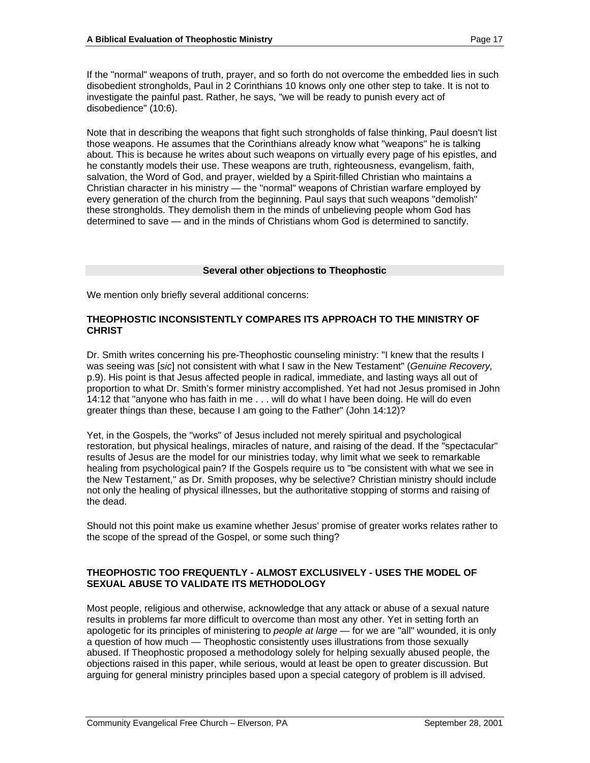If the "normal" weapons of truth, prayer, and so forth do not overcome the embedded lies in such disobedient strongholds, Paul in 2 Corinthians 10 knows only one other step to take. It is not to investigate the painful past. Rather, he says, "we will be ready to punish every act of disobedience" (10:6).

Note that in describing the weapons that fight such strongholds of false thinking, Paul doesn't list those weapons. He assumes that the Corinthians already know what "weapons" he is talking about. This is because he writes about such weapons on virtually every page of his epistles, and he constantly models their use. These weapons are truth, righteousness, evangelism, faith, salvation, the Word of God, and prayer, wielded by a Spirit-filled Christian who maintains a Christian character in his ministry — the "normal" weapons of Christian warfare employed by every generation of the church from the beginning. Paul says that such weapons "demolish" these strongholds. They demolish them in the minds of unbelieving people whom God has determined to save — and in the minds of Christians whom God is determined to sanctify.

## **Several other objections to Theophostic**

We mention only briefly several additional concerns:

## **THEOPHOSTIC INCONSISTENTLY COMPARES ITS APPROACH TO THE MINISTRY OF CHRIST**

Dr. Smith writes concerning his pre-Theophostic counseling ministry: "I knew that the results I was seeing was [sic] not consistent with what I saw in the New Testament" (Genuine Recovery, p.9). His point is that Jesus affected people in radical, immediate, and lasting ways all out of proportion to what Dr. Smith's former ministry accomplished. Yet had not Jesus promised in John 14:12 that "anyone who has faith in me . . . will do what I have been doing. He will do even greater things than these, because I am going to the Father" (John 14:12)?

Yet, in the Gospels, the "works" of Jesus included not merely spiritual and psychological restoration, but physical healings, miracles of nature, and raising of the dead. If the "spectacular" results of Jesus are the model for our ministries today, why limit what we seek to remarkable healing from psychological pain? If the Gospels require us to "be consistent with what we see in the New Testament," as Dr. Smith proposes, why be selective? Christian ministry should include not only the healing of physical illnesses, but the authoritative stopping of storms and raising of the dead.

Should not this point make us examine whether Jesus' promise of greater works relates rather to the scope of the spread of the Gospel, or some such thing?

## **THEOPHOSTIC TOO FREQUENTLY - ALMOST EXCLUSIVELY - USES THE MODEL OF SEXUAL ABUSE TO VALIDATE ITS METHODOLOGY**

Most people, religious and otherwise, acknowledge that any attack or abuse of a sexual nature results in problems far more difficult to overcome than most any other. Yet in setting forth an apologetic for its principles of ministering to people at large — for we are "all" wounded, it is only a question of how much — Theophostic consistently uses illustrations from those sexually abused. If Theophostic proposed a methodology solely for helping sexually abused people, the objections raised in this paper, while serious, would at least be open to greater discussion. But arguing for general ministry principles based upon a special category of problem is ill advised.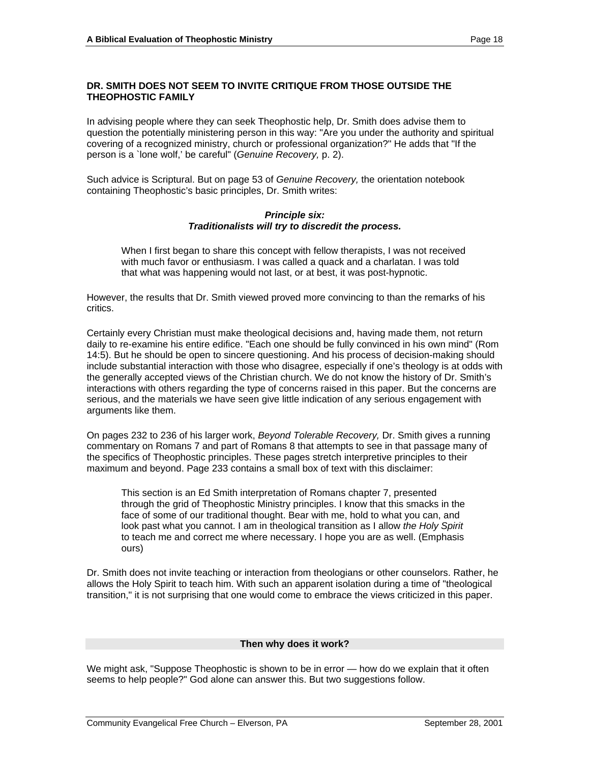#### **DR. SMITH DOES NOT SEEM TO INVITE CRITIQUE FROM THOSE OUTSIDE THE THEOPHOSTIC FAMILY**

In advising people where they can seek Theophostic help, Dr. Smith does advise them to question the potentially ministering person in this way: "Are you under the authority and spiritual covering of a recognized ministry, church or professional organization?" He adds that "If the person is a `lone wolf,' be careful" (Genuine Recovery, p. 2).

Such advice is Scriptural. But on page 53 of Genuine Recovery, the orientation notebook containing Theophostic's basic principles, Dr. Smith writes:

#### **Principle six: Traditionalists will try to discredit the process.**

When I first began to share this concept with fellow therapists, I was not received with much favor or enthusiasm. I was called a quack and a charlatan. I was told that what was happening would not last, or at best, it was post-hypnotic.

However, the results that Dr. Smith viewed proved more convincing to than the remarks of his critics. The contract of the contract of the contract of the contract of the contract of the contract of the contract of the contract of the contract of the contract of the contract of the contract of the contract of the c

Certainly every Christian must make theological decisions and, having made them, not return daily to re-examine his entire edifice. "Each one should be fully convinced in his own mind" (Rom 14:5). But he should be open to sincere questioning. And his process of decision-making should include substantial interaction with those who disagree, especially if one's theology is at odds with the generally accepted views of the Christian church. We do not know the history of Dr. Smith's interactions with others regarding the type of concerns raised in this paper. But the concerns are serious, and the materials we have seen give little indication of any serious engagement with arguments like them.

On pages 232 to 236 of his larger work, Beyond Tolerable Recovery, Dr. Smith gives a running commentary on Romans 7 and part of Romans 8 that attempts to see in that passage many of the specifics of Theophostic principles. These pages stretch interpretive principles to their maximum and beyond. Page 233 contains a small box of text with this disclaimer:

This section is an Ed Smith interpretation of Romans chapter 7, presented through the grid of Theophostic Ministry principles. I know that this smacks in the face of some of our traditional thought. Bear with me, hold to what you can, and look past what you cannot. I am in theological transition as I allow the Holy Spirit to teach me and correct me where necessary. I hope you are as well. (Emphasis ours)

Dr. Smith does not invite teaching or interaction from theologians or other counselors. Rather, he allows the Holy Spirit to teach him. With such an apparent isolation during a time of "theological transition," it is not surprising that one would come to embrace the views criticized in this paper.

#### **Then why does it work?**

We might ask, "Suppose Theophostic is shown to be in error — how do we explain that it often seems to help people?" God alone can answer this. But two suggestions follow.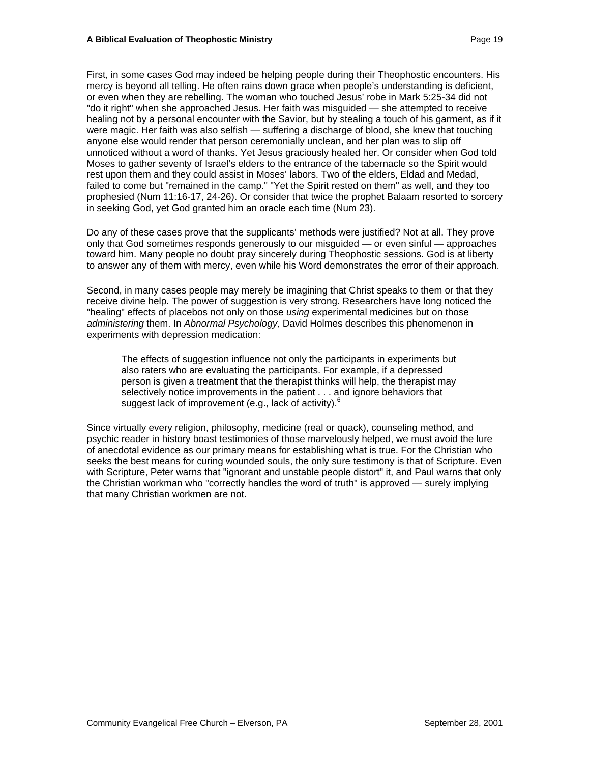First, in some cases God may indeed be helping people during their Theophostic encounters. His mercy is beyond all telling. He often rains down grace when people's understanding is deficient, or even when they are rebelling. The woman who touched Jesus' robe in Mark 5:25-34 did not "do it right" when she approached Jesus. Her faith was misguided — she attempted to receive healing not by a personal encounter with the Savior, but by stealing a touch of his garment, as if it were magic. Her faith was also selfish — suffering a discharge of blood, she knew that touching anyone else would render that person ceremonially unclean, and her plan was to slip off unnoticed without a word of thanks. Yet Jesus graciously healed her. Or consider when God told Moses to gather seventy of Israel's elders to the entrance of the tabernacle so the Spirit would rest upon them and they could assist in Moses' labors. Two of the elders, Eldad and Medad, failed to come but "remained in the camp." "Yet the Spirit rested on them" as well, and they too prophesied (Num 11:16-17, 24-26). Or consider that twice the prophet Balaam resorted to sorcery in seeking God, yet God granted him an oracle each time (Num 23).

Do any of these cases prove that the supplicants' methods were justified? Not at all. They prove only that God sometimes responds generously to our misguided — or even sinful — approaches toward him. Many people no doubt pray sincerely during Theophostic sessions. God is at liberty to answer any of them with mercy, even while his Word demonstrates the error of their approach.

Second, in many cases people may merely be imagining that Christ speaks to them or that they receive divine help. The power of suggestion is very strong. Researchers have long noticed the "healing" effects of placebos not only on those using experimental medicines but on those administering them. In Abnormal Psychology, David Holmes describes this phenomenon in experiments with depression medication:

The effects of suggestion influence not only the participants in experiments but also raters who are evaluating the participants. For example, if a depressed person is given a treatment that the therapist thinks will help, the therapist may selectively notice improvements in the patient . . . and ignore behaviors that suggest lack of improvement (e.g., lack of activity).<sup>6</sup>

Since virtually every religion, philosophy, medicine (real or quack), counseling method, and psychic reader in history boast testimonies of those marvelously helped, we must avoid the lure of anecdotal evidence as our primary means for establishing what is true. For the Christian who seeks the best means for curing wounded souls, the only sure testimony is that of Scripture. Even with Scripture, Peter warns that "ignorant and unstable people distort" it, and Paul warns that only the Christian workman who "correctly handles the word of truth" is approved — surely implying that many Christian workmen are not.